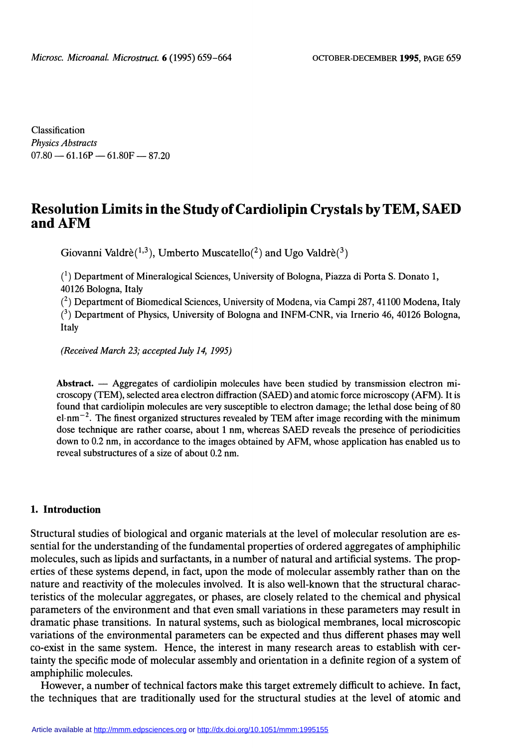Classification Physics Abstracts  $07.80 - 61.16P - 61.80F - 87.20$ 

# Resolution Limits in the Study of Cardiolipin Crystals by TEM, SAED and AFM

Giovanni Valdrè(1,3), Umberto Muscatello(2) and Ugo Valdrè(3)

 $<sup>(1)</sup>$  Department of Mineralogical Sciences, University of Bologna, Piazza di Porta S. Donato 1,</sup> 40126 Bologna, Italy

 $(2)$  Department of Biomedical Sciences, University of Modena, via Campi 287, 41100 Modena, Italy  $(3)$  Department of Physics, University of Bologna and INFM-CNR, via Irnerio 46, 40126 Bologna, Italy

(Received March 23; accepted July 14, 1995)

Abstract.  $-$  Aggregates of cardiolipin molecules have been studied by transmission electron microscopy (TEM), selected area electron diffraction (SAED) and atomic force microscopy (AFM). It is found that cardiolipin molecules are very susceptible to electron damage; the lethal dose being of 80  $el·nm<sup>-2</sup>$ . The finest organized structures revealed by TEM after image recording with the minimum dose technique are rather coarse, about 1 nm, whereas SAED reveals the presence of periodicities down to 0.2 nm, in accordance to the images obtained by AFM, whose application has enabled us to reveal substructures of a size of about 0.2 nm.

### 1. Introduction

Structural studies of biological and organic materials at the level of molecular resolution are essential for the understanding of the fundamental properties of ordered aggregates of amphiphilic molecules, such as lipids and surfactants, in a number of natural and artificial systems. The properties of these systems depend, in fact, upon the mode of molecular assembly rather than on the nature and reactivity of the molecules involved. It is also well-known that the structural characteristics of the molecular aggregates, or phases, are closely related to the chemical and physical parameters of the environment and that even small variations in these parameters may result in dramatic phase transitions. In natural systems, such as biological membranes, local microscopic variations of the environmental parameters can be expected and thus different phases may well co-exist in the same system. Hence, the interest in many research areas to establish with certainty the specific mode of molecular assembly and orientation in a definite region of a system of amphiphilic molecules.

However, a number of technical factors make this target extremely difficult to achieve. In fact, the techniques that are traditionally used for the structural studies at the level of atomic and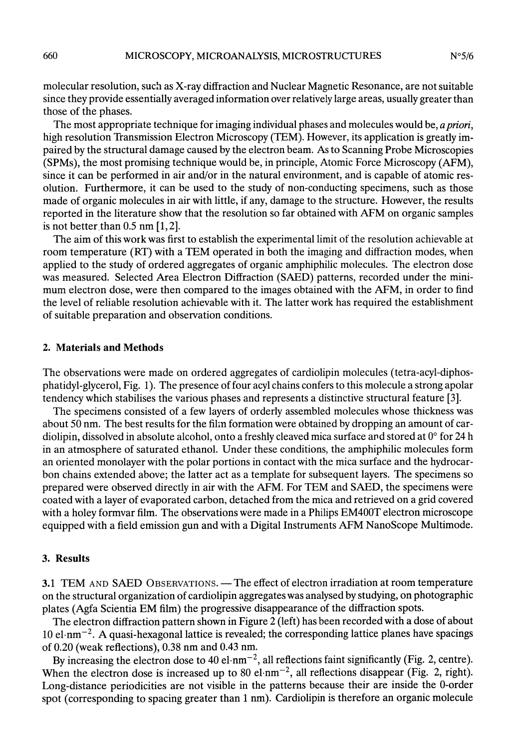molecular resolution, such as X-ray diffraction and Nuclear Magnetic Resonance, are not suitable since they provide essentially averaged information over relatively large areas, usually greater than those of the phases.

The most appropriate technique for imaging individual phases and molecules would be, a priori, high resolution Transmission Electron Microscopy (TEM). However, its application is greatly impaired by the structural damage caused by the electron beam. As to Scanning Probe Microscopies (SPMs), the most promising technique would be, in principle, Atomic Force Microscopy (AFM), since it can be performed in air and/or in the natural environment, and is capable of atomic resolution. Furthermore, it can be used to the study of non-conducting specimens, such as those made of organic molecules in air with little, if any, damage to the structure. However, the results reported in the literature show that the resolution so far obtained with AFM on organic samples is not better than  $0.5$  nm  $[1, 2]$ .

The aim of this work was first to establish the experimental limit of the resolution achievable at room temperature (RT) with a TEM operated in both the imaging and diffraction modes, when applied to the study of ordered aggregates of organic amphiphilic molecules. The electron dose was measured. Selected Area Electron Diffraction (SAED) patterns, recorded under the minimum electron dose, were then compared to the images obtained with the AFM, in order to find the level of reliable resolution achievable with it. The latter work has required the establishment of suitable preparation and observation conditions.

#### 2. Materials and Methods

The observations were made on ordered aggregates of cardiolipin molecules (tetra-acyl-diphosphatidyl-glycerol, Fig. 1). The presence of four acyl chains confers to this molecule a strong apolar tendency which stabilises the various phases and represents a distinctive structural feature [3].

The specimens consisted of a few layers of orderly assembled molecules whose thickness was about 50 nm. The best results for the film formation were obtained by dropping an amount of cardiolipin, dissolved in absolute alcohol, onto a freshly cleaved mica surface and stored at 0° for 24 h in an atmosphere of saturated ethanol. Under these conditions, the amphiphilic molecules form an oriented monolayer with the polar portions in contact with the mica surface and the hydrocarbon chains extended above; the latter act as a template for subsequent layers. The specimens so prepared were observed directly in air with the AFM. For TEM and SAED, the specimens were coated with a layer of evaporated carbon, detached from the mica and retrieved on a grid covered with a holey formvar film. The observations were made in a Philips EM400T electron microscope equipped with a field emission gun and with a Digital Instruments AFM NanoScope Multimode.

#### 3. Results

3.1 TEM AND SAED OBSERVATIONS. — The effect of electron irradiation at room temperature on the structural organization of cardiolipin aggregates was analysed by studying, on photographic plates (Agfa Scientia EM film) the progressive disappearance of the diffraction spots.

The electron diffraction pattern shown in Figure 2 (left) has been recorded with a dose of about 10 el $\cdot$ nm<sup>-2</sup>. A quasi-hexagonal lattice is revealed; the corresponding lattice planes have spacings of 0.20 (weak reflections), 0.38 nm and 0.43 nm.

By increasing the electron dose to 40 el $\cdot$ nm<sup>-2</sup>, all reflections faint significantly (Fig. 2, centre). When the electron dose is increased up to 80 el $\cdot$ nm<sup>-2</sup>, all reflections disappear (Fig. 2, right). Long-distance periodicities are not visible in the patterns because their are inside the 0-order spot (corresponding to spacing greater than 1 nm). Cardiolipin is therefore an organic molecule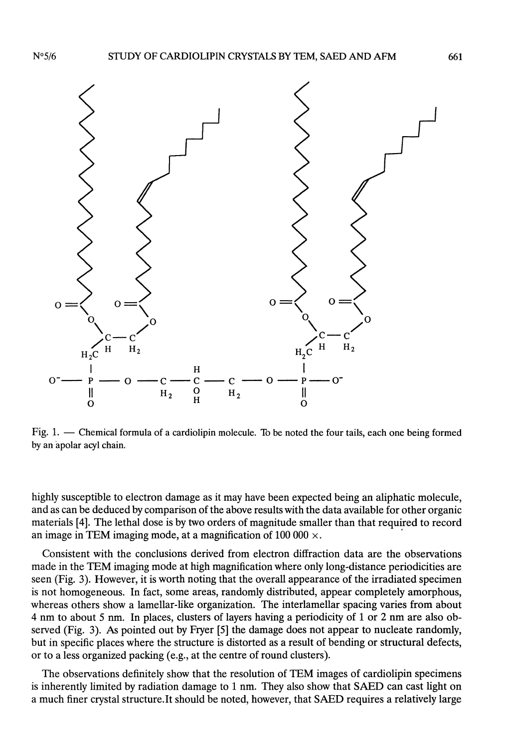

Fig. 1. - Chemical formula of a cardiolipin molecule. To be noted the four tails, each one being formed by an àpolar acyl chain.

highly susceptible to electron damage as it may have been expected being an aliphatic molecule, and as can be deduced by comparison of the above results with the data available for other organic materials [4]. The lethal dose is by two orders of magnitude smaller than that required to record an image in TEM imaging mode, at a magnification of 100 000  $\times$ .

Consistent with the conclusions derived from electron diffraction data are the observations made in the TEM imaging mode at high magnification where only long-distance periodicities are seen (Fig. 3). However, it is worth noting that the overall appearance of the irradiated specimen is not homogeneous. In fact, some areas, randomly distributed, appear completely amorphous, whereas others show a lamellar-like organization. The interlamellar spacing varies from about 4 nm to about 5 nm. In places, clusters of layers having a periodicity of 1 or 2 nm are also observed (Fig. 3). As pointed out by Fryer [5] the damage does not appear to nucleate randomly, but in specific places where the structure is distorted as a result of bending or structural defects, or to a less organized packing (e.g., at the centre of round clusters).

The observations definitely show that the resolution of TEM images of cardiolipin specimens is inherently limited by radiation damage to 1 nm. They also show that SAED can cast light on a much finer crystal structure.It should be noted, however, that SAED requires a relatively large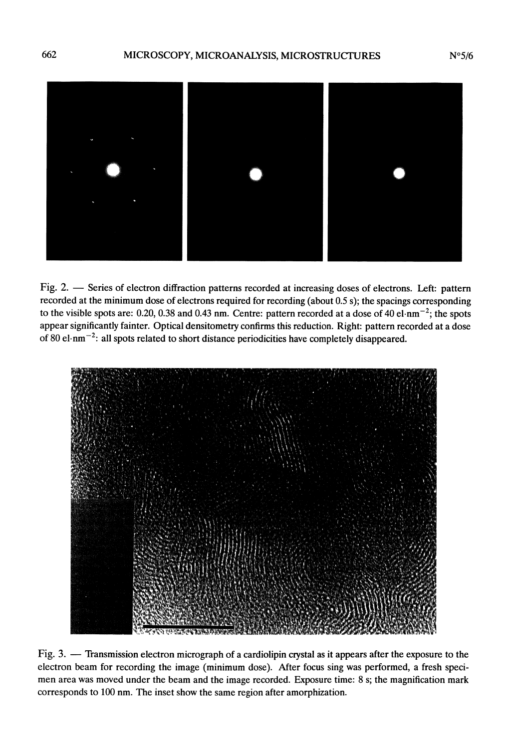

Fig. 2. - Series of electron diffraction patterns recorded at increasing doses of electrons. Left: pattern recorded at the minimum dose of electrons required for recording (about 0.5 s); the spacings corresponding to the visible spots are: 0.20, 0.38 and 0.43 nm. Centre: pattern recorded at a dose of 40 el.nm<sup>-2</sup>; the spots appear significantly fainter. Optical densitometry confirms this reduction. Right: pattern recorded at a dose of 80 el $\cdot$ nm<sup>-2</sup>: all spots related to short distance periodicities have completely disappeared.



Fig. 3. - Transmission electron micrograph of a cardiolipin crystal as it appears after the exposure to the electron beam for recording the image (minimum dose). After focus sing was performed, a fresh speci men area was moved under the beam and the image recorded. Exposure time: 8 s; the magnification mark corresponds to 100 nm. The inset show the same region after amorphization.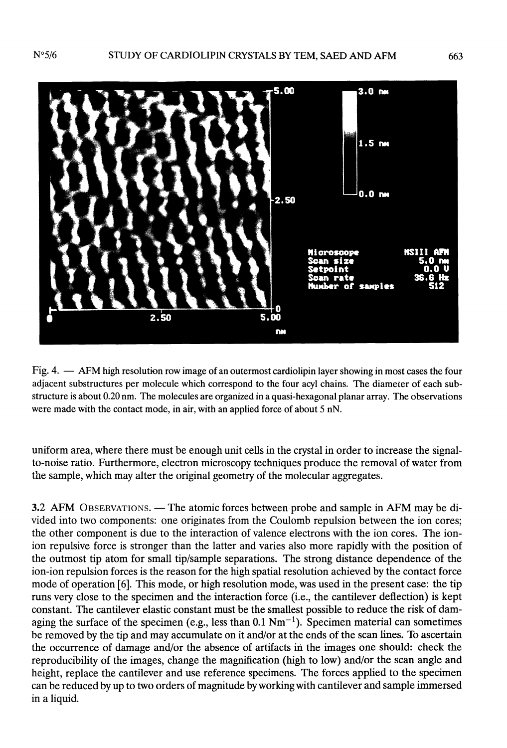$N°5/6$ 



Fig. 4. - AFM high resolution row image of an outermost cardiolipin layer showing in most cases the four adjacent substructures per molecule which correspond to the four acyl chains. The diameter of each substructure is about 0.20 nm. The molecules are organized in a quasi-hexagonal planar array. The observations were made with the contact mode, in air, with an applied force of about 5 nN.

uniform area, where there must be enough unit cells in the crystal in order to increase the signalto-noise ratio. Furthermore, electron microscopy techniques produce the removal of water from the sample, which may alter the original geometry of the molecular aggregates.

3.2 AFM OBSERVATIONS. — The atomic forces between probe and sample in AFM may be divided into two components: one originates from the Coulomb repulsion between the ion cores; the other component is due to the interaction of valence electrons with the ion cores. The ionion repulsive force is stronger than the latter and varies also more rapidly with the position of the outmost tip atom for small tip/sample separations. The strong distance dependence of the ion-ion repulsion forces is the reason for the high spatial resolution achieved by the contact force mode of operation [6]. This mode, or high resolution mode, was used in the present case: the tip runs very close to the specimen and the interaction force (i.e., the cantilever deflection) is kept constant. The cantilever elastic constant must be the smallest possible to reduce the risk of damaging the surface of the specimen (e.g., less than  $0.1 \text{ Nm}^{-1}$ ). Specimen material can sometimes be removed by the tip and may accumulate on it and/or at the ends of the scan lines. To ascertain the occurrence of damage and/or the absence of artifacts in the images one should: check the reproducibility of the images, change the magnification (high to low) and/or the scan angle and height, replace the cantilever and use reference specimens. The forces applied to the specimen can be reduced by up to two orders of magnitude by working with cantilever and sample immersed in a liquid.